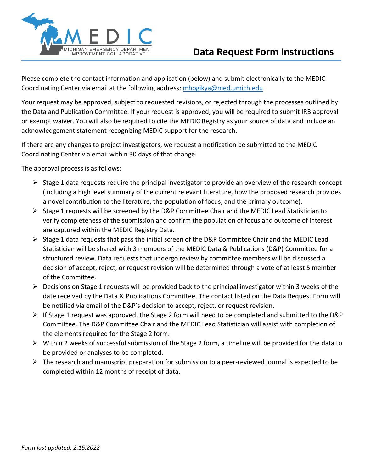

Please complete the contact information and application (below) and submit electronically to the MEDIC Coordinating Center via email at the following address: [mhogikya@med.umich.edu](mailto:mhogikya@med.umich.edu)

Your request may be approved, subject to requested revisions, or rejected through the processes outlined by the Data and Publication Committee. If your request is approved, you will be required to submit IRB approval or exempt waiver. You will also be required to cite the MEDIC Registry as your source of data and include an acknowledgement statement recognizing MEDIC support for the research.

If there are any changes to project investigators, we request a notification be submitted to the MEDIC Coordinating Center via email within 30 days of that change.

The approval process is as follows:

- $\triangleright$  Stage 1 data requests require the principal investigator to provide an overview of the research concept (including a high level summary of the current relevant literature, how the proposed research provides a novel contribution to the literature, the population of focus, and the primary outcome).
- ➢ Stage 1 requests will be screened by the D&P Committee Chair and the MEDIC Lead Statistician to verify completeness of the submission and confirm the population of focus and outcome of interest are captured within the MEDIC Registry Data.
- ➢ Stage 1 data requests that pass the initial screen of the D&P Committee Chair and the MEDIC Lead Statistician will be shared with 3 members of the MEDIC Data & Publications (D&P) Committee for a structured review. Data requests that undergo review by committee members will be discussed a decision of accept, reject, or request revision will be determined through a vote of at least 5 member of the Committee.
- $\triangleright$  Decisions on Stage 1 requests will be provided back to the principal investigator within 3 weeks of the date received by the Data & Publications Committee. The contact listed on the Data Request Form will be notified via email of the D&P's decision to accept, reject, or request revision.
- ➢ If Stage 1 request was approved, the Stage 2 form will need to be completed and submitted to the D&P Committee. The D&P Committee Chair and the MEDIC Lead Statistician will assist with completion of the elements required for the Stage 2 form.
- $\triangleright$  Within 2 weeks of successful submission of the Stage 2 form, a timeline will be provided for the data to be provided or analyses to be completed.
- $\triangleright$  The research and manuscript preparation for submission to a peer-reviewed journal is expected to be completed within 12 months of receipt of data.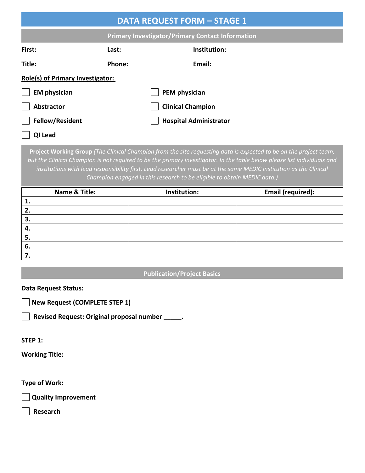| <b>DATA REQUEST FORM - STAGE 1</b>                      |                          |                               |  |  |  |
|---------------------------------------------------------|--------------------------|-------------------------------|--|--|--|
| <b>Primary Investigator/Primary Contact Information</b> |                          |                               |  |  |  |
| First:                                                  | Last:                    | Institution:                  |  |  |  |
| Title:                                                  | Phone:                   | Email:                        |  |  |  |
| <b>Role(s) of Primary Investigator:</b>                 |                          |                               |  |  |  |
| <b>EM physician</b>                                     |                          | PEM physician                 |  |  |  |
| Abstractor                                              | <b>Clinical Champion</b> |                               |  |  |  |
| <b>Fellow/Resident</b>                                  |                          | <b>Hospital Administrator</b> |  |  |  |
| QI Lead                                                 |                          |                               |  |  |  |

**Project Working Group** *(The Clinical Champion from the site requesting data is expected to be on the project team, but the Clinical Champion is not required to be the primary investigator. In the table below please list individuals and*  institutions with lead responsibility first. Lead researcher must be at the same MEDIC institution as the Clinical *Champion engaged in this research to be eligible to obtain MEDIC data.)*

| Name & Title: | Institution: | Email (required): |
|---------------|--------------|-------------------|
|               |              |                   |
|               |              |                   |
| З.            |              |                   |
| 4.            |              |                   |
| 5.            |              |                   |
| 6.            |              |                   |
|               |              |                   |

### **Publication/Project Basics**

#### **Data Request Status:**

**New Request (COMPLETE STEP 1)**

**Revised Request: Original proposal number \_\_\_\_\_.**

#### **STEP 1:**

**Working Title:** 

#### **Type of Work:**

**Quality Improvement**

**Research**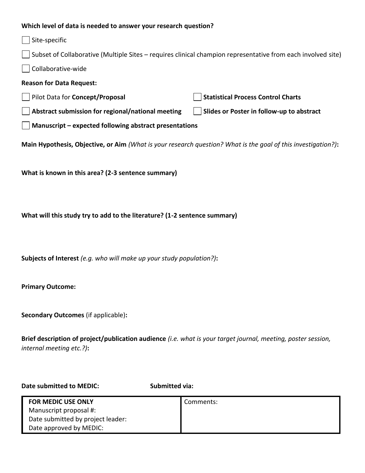## **Which level of data is needed to answer your research question?**

| which level of data is needed to answer your research question?                                               |                                           |  |  |  |
|---------------------------------------------------------------------------------------------------------------|-------------------------------------------|--|--|--|
| Site-specific                                                                                                 |                                           |  |  |  |
| Subset of Collaborative (Multiple Sites – requires clinical champion representative from each involved site)  |                                           |  |  |  |
| Collaborative-wide                                                                                            |                                           |  |  |  |
| <b>Reason for Data Request:</b>                                                                               |                                           |  |  |  |
| Pilot Data for Concept/Proposal                                                                               | <b>Statistical Process Control Charts</b> |  |  |  |
| Abstract submission for regional/national meeting                                                             | Slides or Poster in follow-up to abstract |  |  |  |
| Manuscript - expected following abstract presentations                                                        |                                           |  |  |  |
| Main Hypothesis, Objective, or Aim (What is your research question? What is the goal of this investigation?): |                                           |  |  |  |
| What is known in this area? (2-3 sentence summary)                                                            |                                           |  |  |  |

**What will this study try to add to the literature? (1-2 sentence summary)**

**Subjects of Interest** *(e.g. who will make up your study population?)***:**

**Primary Outcome:**

**Secondary Outcomes** (if applicable)**:**

**Brief description of project/publication audience** *(i.e. what is your target journal, meeting, poster session, internal meeting etc.?)***:**

Date submitted to MEDIC: Submitted via:

| <b>FOR MEDIC USE ONLY</b>         | Comments: |
|-----------------------------------|-----------|
| Manuscript proposal #:            |           |
| Date submitted by project leader: |           |
| Date approved by MEDIC:           |           |